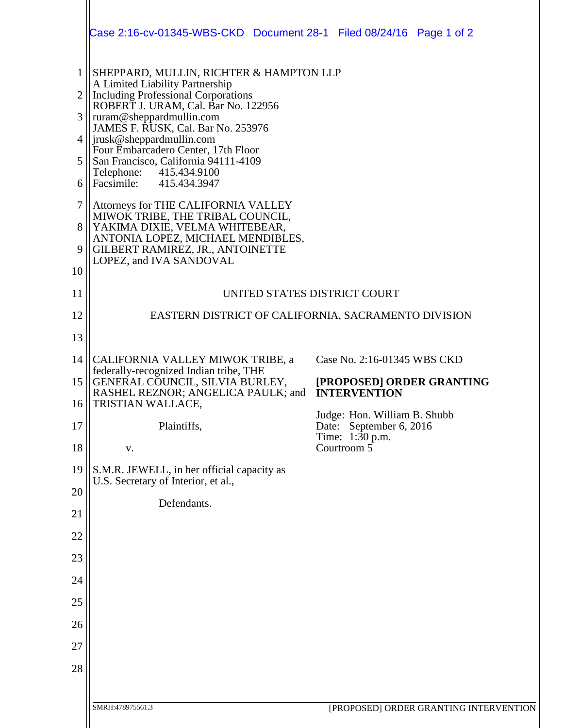|                | Case 2:16-cv-01345-WBS-CKD  Document 28-1  Filed 08/24/16  Page 1 of 2                                                                                                                       |                                                            |
|----------------|----------------------------------------------------------------------------------------------------------------------------------------------------------------------------------------------|------------------------------------------------------------|
| $\mathbf{1}$   | SHEPPARD, MULLIN, RICHTER & HAMPTON LLP                                                                                                                                                      |                                                            |
| $\overline{2}$ | A Limited Liability Partnership<br><b>Including Professional Corporations</b>                                                                                                                |                                                            |
| 3              | ROBERT J. URAM, Cal. Bar No. 122956<br>ruram@sheppardmullin.com                                                                                                                              |                                                            |
|                | JAMES F. RUSK, Cal. Bar No. 253976<br>jrusk@sheppardmullin.com                                                                                                                               |                                                            |
| 5              | Four Embarcadero Center, 17th Floor<br>San Francisco, California 94111-4109                                                                                                                  |                                                            |
| 6              | Telephone:<br>415.434.9100<br>Facsimile: 415.434.3947                                                                                                                                        |                                                            |
| $\overline{7}$ | Attorneys for THE CALIFORNIA VALLEY<br>MIWOK TRIBE, THE TRIBAL COUNCIL,<br>8<br>YAKIMA DIXIE, VELMA WHITEBEAR,<br>ANTONIA LOPEZ, MICHAEL MENDIBLES,<br>GILBERT RAMIREZ, JR., ANTOINETTE<br>9 |                                                            |
|                |                                                                                                                                                                                              |                                                            |
| 10             | LOPEZ, and IVA SANDOVAL                                                                                                                                                                      |                                                            |
| 11             | UNITED STATES DISTRICT COURT                                                                                                                                                                 |                                                            |
| 12             | EASTERN DISTRICT OF CALIFORNIA, SACRAMENTO DIVISION                                                                                                                                          |                                                            |
| 13             |                                                                                                                                                                                              |                                                            |
| 14             | CALIFORNIA VALLEY MIWOK TRIBE, a<br>federally-recognized Indian tribe, THE                                                                                                                   | Case No. 2:16-01345 WBS CKD                                |
| 15<br>16       | GENERAL COUNCIL, SILVIA BURLEY,<br>RASHEL REZNOR; ANGELICA PAULK; and<br>TRISTIAN WALLACE,                                                                                                   | [PROPOSED] ORDER GRANTING<br><b>INTERVENTION</b>           |
| 17             | Plaintiffs,                                                                                                                                                                                  | Judge: Hon. William B. Shubb<br>September 6, 2016<br>Date: |
| 18             | V.                                                                                                                                                                                           | Time: 1:30 p.m.<br>Courtroom 5                             |
| 19             | S.M.R. JEWELL, in her official capacity as                                                                                                                                                   |                                                            |
| 20             | U.S. Secretary of Interior, et al.,                                                                                                                                                          |                                                            |
| 21             | Defendants.                                                                                                                                                                                  |                                                            |
| 22             |                                                                                                                                                                                              |                                                            |
| 23             |                                                                                                                                                                                              |                                                            |
| 24             |                                                                                                                                                                                              |                                                            |
| 25             |                                                                                                                                                                                              |                                                            |
| 26             |                                                                                                                                                                                              |                                                            |
| 27             |                                                                                                                                                                                              |                                                            |
| 28             |                                                                                                                                                                                              |                                                            |
|                |                                                                                                                                                                                              |                                                            |
|                | SMRH:478975561.3                                                                                                                                                                             | [PROPOSED] ORDER GRANTING INTERVENTION                     |